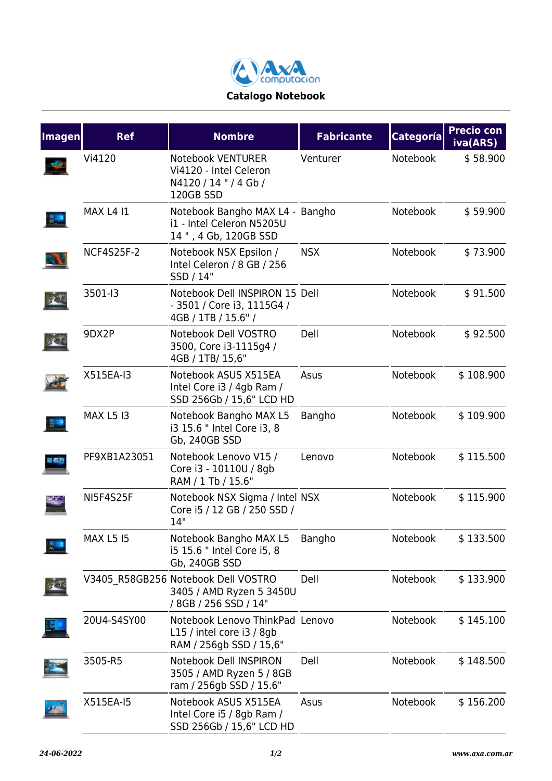

| <b>Imagen</b> | <b>Ref</b>        | <b>Nombre</b>                                                                            | <b>Fabricante</b> | <b>Categoría</b> | <b>Precio con</b><br>iva(ARS) |
|---------------|-------------------|------------------------------------------------------------------------------------------|-------------------|------------------|-------------------------------|
|               | Vi4120            | Notebook VENTURER<br>Vi4120 - Intel Celeron<br>N4120/14"/4Gb/<br>120GB SSD               | Venturer          | Notebook         | \$58.900                      |
|               | <b>MAX L4 I1</b>  | Notebook Bangho MAX L4 - Bangho<br>i1 - Intel Celeron N5205U<br>14 ", 4 Gb, 120GB SSD    |                   | Notebook         | \$59.900                      |
|               | <b>NCF4S25F-2</b> | Notebook NSX Epsilon /<br>Intel Celeron / 8 GB / 256<br>SSD / 14"                        | <b>NSX</b>        | Notebook         | \$73.900                      |
|               | 3501-13           | Notebook Dell INSPIRON 15 Dell<br>- 3501 / Core i3, 1115G4 /<br>4GB / 1TB / 15.6" /      |                   | Notebook         | \$91.500                      |
|               | 9DX2P             | Notebook Dell VOSTRO<br>3500, Core i3-1115g4 /<br>4GB / 1TB/ 15,6"                       | Dell              | Notebook         | \$92.500                      |
|               | X515EA-I3         | Notebook ASUS X515EA<br>Intel Core i3 / 4gb Ram /<br>SSD 256Gb / 15,6" LCD HD            | Asus              | Notebook         | \$108.900                     |
|               | <b>MAX L5 I3</b>  | Notebook Bangho MAX L5<br>i3 15.6 " Intel Core i3, 8<br>Gb, 240GB SSD                    | Bangho            | Notebook         | \$109.900                     |
|               | PF9XB1A23051      | Notebook Lenovo V15 /<br>Core i3 - 10110U / 8gb<br>RAM / 1 Tb / 15.6"                    | Lenovo            | Notebook         | \$115.500                     |
|               | <b>NI5F4S25F</b>  | Notebook NSX Sigma / Intel NSX<br>Core i5 / 12 GB / 250 SSD /<br>14"                     |                   | Notebook         | \$115.900                     |
|               | <b>MAX L5 15</b>  | Notebook Bangho MAX L5 Bangho<br>i5 15.6 " Intel Core i5, 8<br>Gb, 240GB SSD             |                   | Notebook         | \$133.500                     |
|               |                   | V3405 R58GB256 Notebook Dell VOSTRO<br>3405 / AMD Ryzen 5 3450U<br>/ 8GB / 256 SSD / 14" | Dell              | Notebook         | \$133.900                     |
|               | 20U4-S4SY00       | Notebook Lenovo ThinkPad Lenovo<br>L15 / intel core i3 / 8gb<br>RAM / 256gb SSD / 15,6"  |                   | Notebook         | \$145.100                     |
|               | 3505-R5           | Notebook Dell INSPIRON<br>3505 / AMD Ryzen 5 / 8GB<br>ram / 256gb SSD / 15.6"            | Dell              | Notebook         | \$148.500                     |
|               | X515EA-I5         | Notebook ASUS X515EA<br>Intel Core i5 / 8gb Ram /<br>SSD 256Gb / 15,6" LCD HD            | Asus              | Notebook         | \$156.200                     |